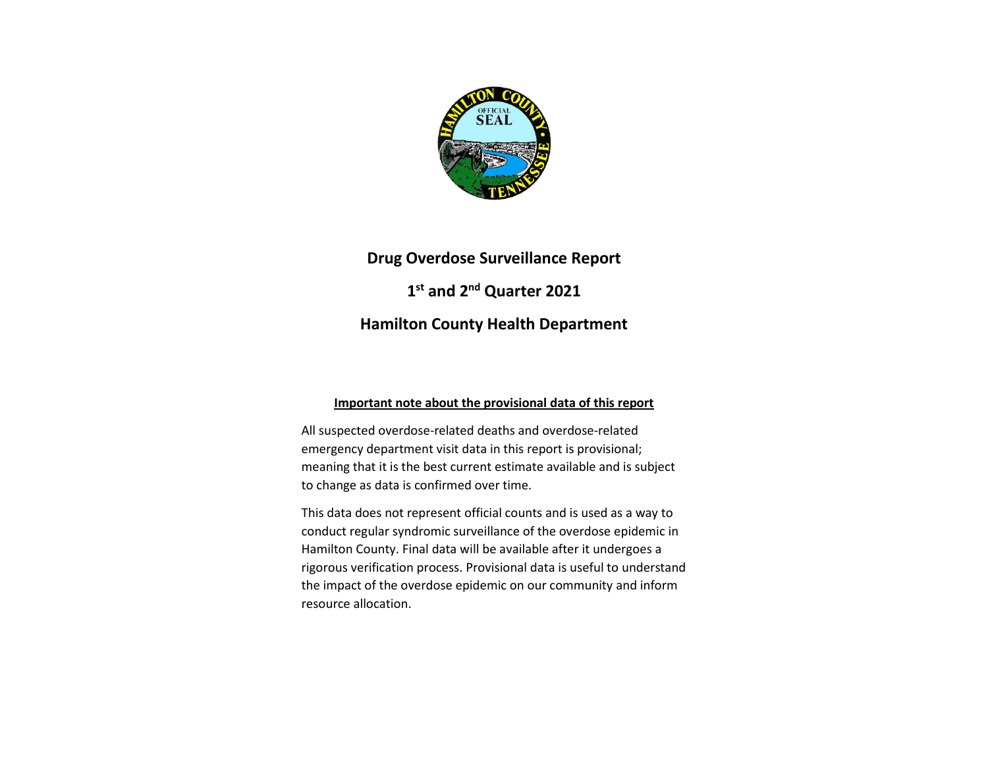

# **Drug Overdose Surveillance Report 1 st and 2nd Quarter 2021 Hamilton County Health Department**

#### **Important note about the provisional data of this report**

All suspected overdose-related deaths and overdose-related emergency department visit data in this report is provisional; meaning that it is the best current estimate available and is subject to change as data is confirmed over time.

This data does not represent official counts and is used as a way to conduct regular syndromic surveillance of the overdose epidemic in Hamilton County. Final data will be available after it undergoes a rigorous verification process. Provisional data is useful to understand the impact of the overdose epidemic on our community and inform resource allocation.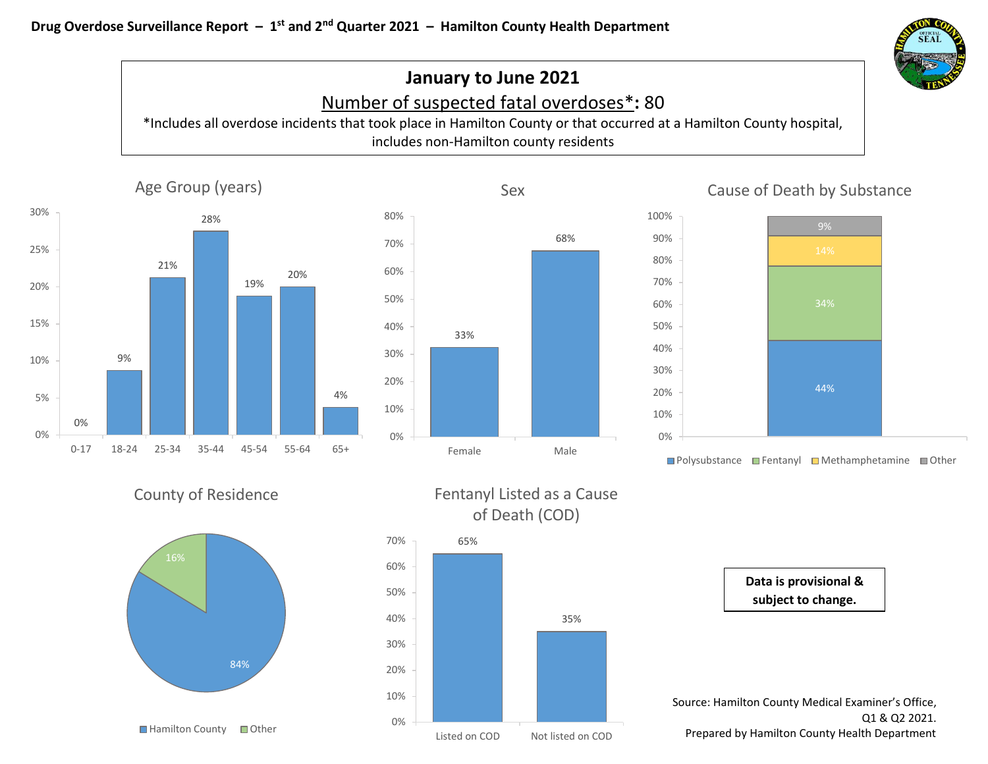

# **January to June 2021** Number of suspected fatal overdoses\***:** 80

\*Includes all overdose incidents that took place in Hamilton County or that occurred at a Hamilton County hospital, includes non-Hamilton county residents





## Cause of Death by Substance



■Polysubstance ■Fentanyl ■Methamphetamine ■Other











Source: Hamilton County Medical Examiner's Office, Q1 & Q2 2021. Prepared by Hamilton County Health Department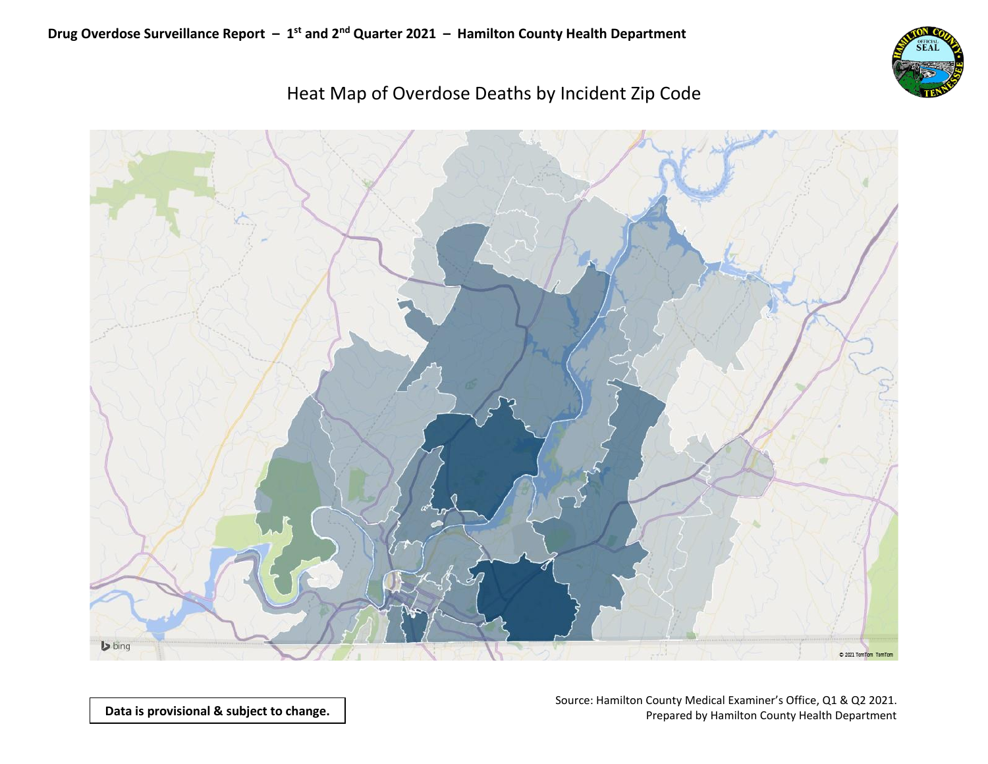

# Heat Map of Overdose Deaths by Incident Zip Code



**Data is provisional & subject to change.**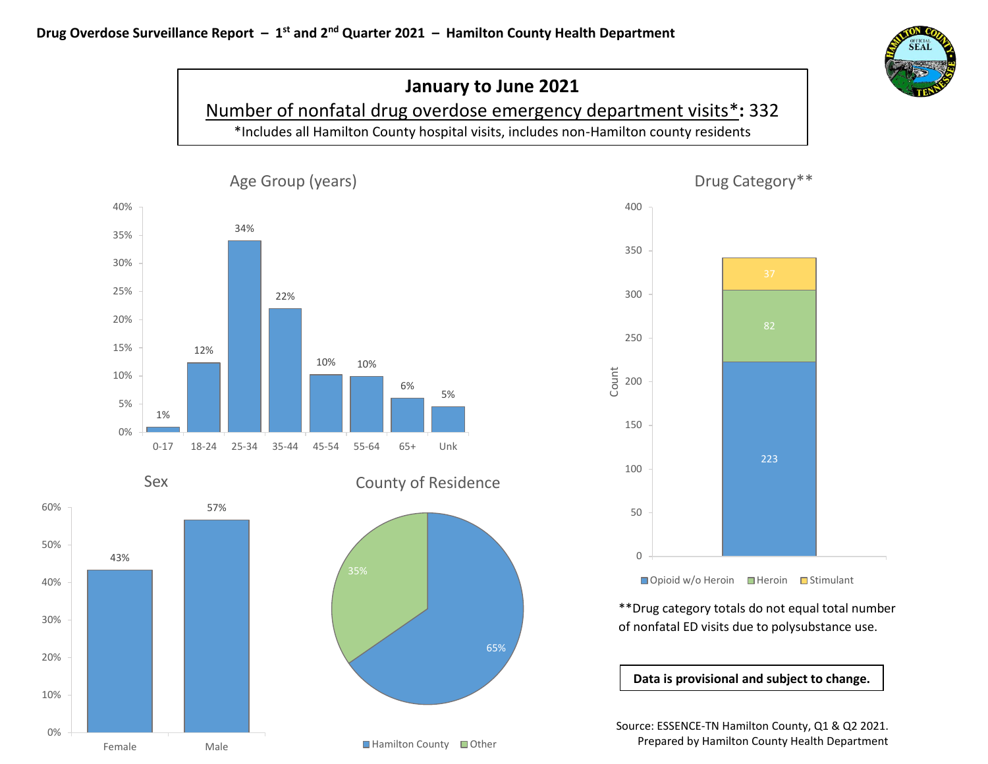

# **January to June 2021** Number of nonfatal drug overdose emergency department visits\***:** 332 \*Includes all Hamilton County hospital visits, includes non-Hamilton county residents

65%



Sex





\*\*Drug category totals do not equal total number of nonfatal ED visits due to polysubstance use.

**Data is provisional and subject to change.**

Source: ESSENCE-TN Hamilton County, Q1 & Q2 2021. Prepared by Hamilton County Health Department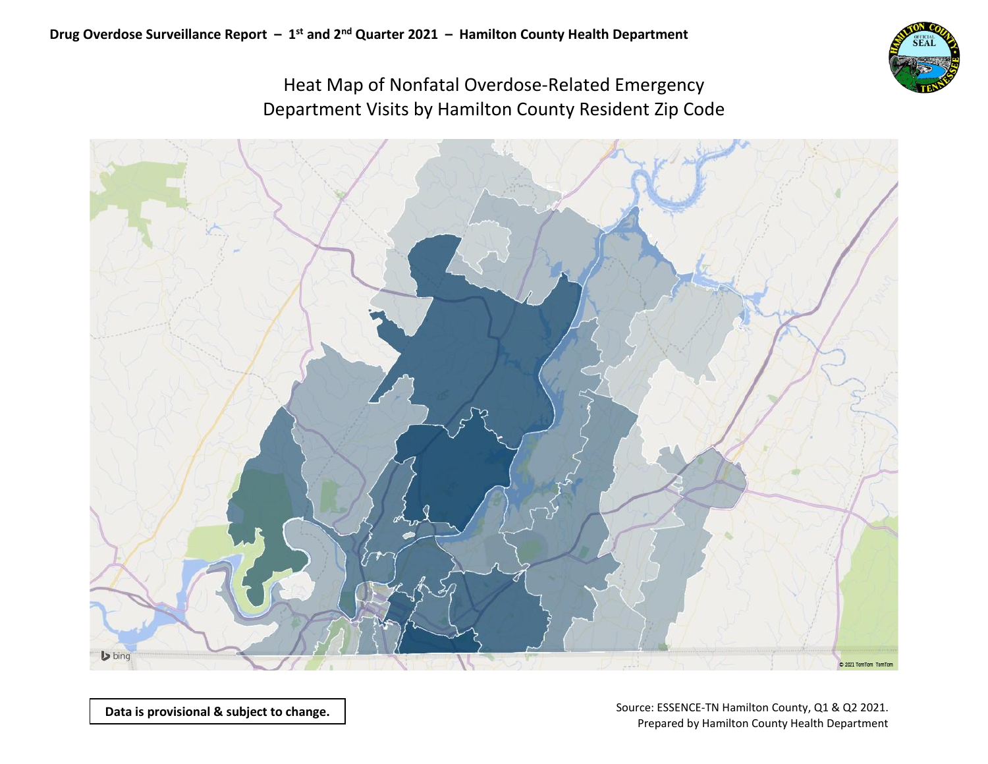

## Heat Map of Nonfatal Overdose-Related Emergency Department Visits by Hamilton County Resident Zip Code

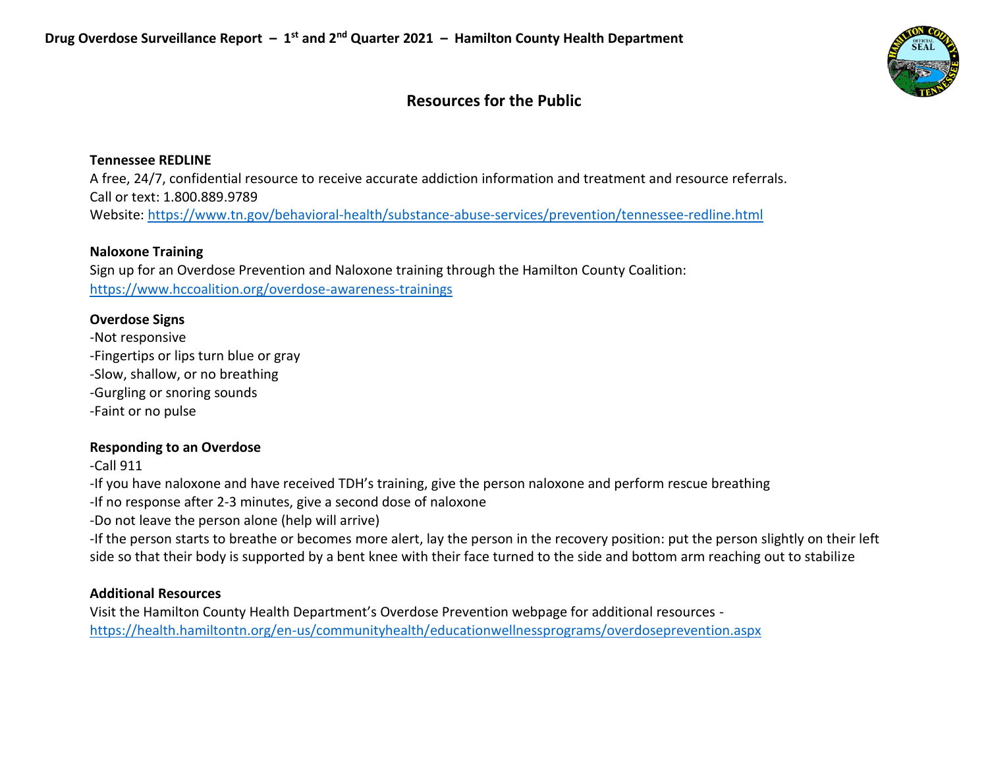

## **Resources for the Public**

## **Tennessee REDLINE**

A free, 24/7, confidential resource to receive accurate addiction information and treatment and resource referrals. Call or text: 1.800.889.9789 Website:<https://www.tn.gov/behavioral-health/substance-abuse-services/prevention/tennessee-redline.html>

## **Naloxone Training**

Sign up for an Overdose Prevention and Naloxone training through the Hamilton County Coalition: <https://www.hccoalition.org/overdose-awareness-trainings>

## **Overdose Signs**

-Not responsive -Fingertips or lips turn blue or gray -Slow, shallow, or no breathing -Gurgling or snoring sounds -Faint or no pulse

## **Responding to an Overdose**

-Call 911

-If you have naloxone and have received TDH's training, give the person naloxone and perform rescue breathing

-If no response after 2-3 minutes, give a second dose of naloxone

-Do not leave the person alone (help will arrive)

-If the person starts to breathe or becomes more alert, lay the person in the recovery position: put the person slightly on their left side so that their body is supported by a bent knee with their face turned to the side and bottom arm reaching out to stabilize

## **Additional Resources**

Visit the Hamilton County Health Department's Overdose Prevention webpage for additional resources <https://health.hamiltontn.org/en-us/communityhealth/educationwellnessprograms/overdoseprevention.aspx>